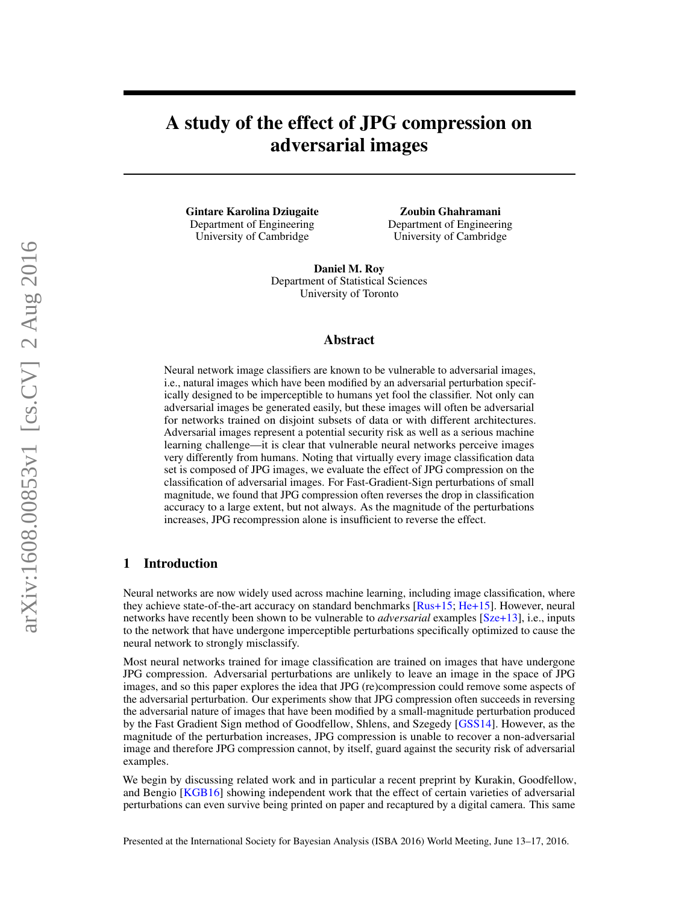# A study of the effect of JPG compression on adversarial images

Gintare Karolina Dziugaite Department of Engineering University of Cambridge

Zoubin Ghahramani Department of Engineering University of Cambridge

Daniel M. Roy Department of Statistical Sciences University of Toronto

#### Abstract

Neural network image classifiers are known to be vulnerable to adversarial images, i.e., natural images which have been modified by an adversarial perturbation specifically designed to be imperceptible to humans yet fool the classifier. Not only can adversarial images be generated easily, but these images will often be adversarial for networks trained on disjoint subsets of data or with different architectures. Adversarial images represent a potential security risk as well as a serious machine learning challenge—it is clear that vulnerable neural networks perceive images very differently from humans. Noting that virtually every image classification data set is composed of JPG images, we evaluate the effect of JPG compression on the classification of adversarial images. For Fast-Gradient-Sign perturbations of small magnitude, we found that JPG compression often reverses the drop in classification accuracy to a large extent, but not always. As the magnitude of the perturbations increases, JPG recompression alone is insufficient to reverse the effect.

## 1 Introduction

Neural networks are now widely used across machine learning, including image classification, where they achieve state-of-the-art accuracy on standard benchmarks [\[Rus+15;](#page-7-0) [He+15\]](#page-7-1). However, neural networks have recently been shown to be vulnerable to *adversarial* examples [\[Sze+13\]](#page-7-2), i.e., inputs to the network that have undergone imperceptible perturbations specifically optimized to cause the neural network to strongly misclassify.

Most neural networks trained for image classification are trained on images that have undergone JPG compression. Adversarial perturbations are unlikely to leave an image in the space of JPG images, and so this paper explores the idea that JPG (re)compression could remove some aspects of the adversarial perturbation. Our experiments show that JPG compression often succeeds in reversing the adversarial nature of images that have been modified by a small-magnitude perturbation produced by the Fast Gradient Sign method of Goodfellow, Shlens, and Szegedy [\[GSS14\]](#page-6-0). However, as the magnitude of the perturbation increases, JPG compression is unable to recover a non-adversarial image and therefore JPG compression cannot, by itself, guard against the security risk of adversarial examples.

We begin by discussing related work and in particular a recent preprint by Kurakin, Goodfellow, and Bengio [\[KGB16\]](#page-7-3) showing independent work that the effect of certain varieties of adversarial perturbations can even survive being printed on paper and recaptured by a digital camera. This same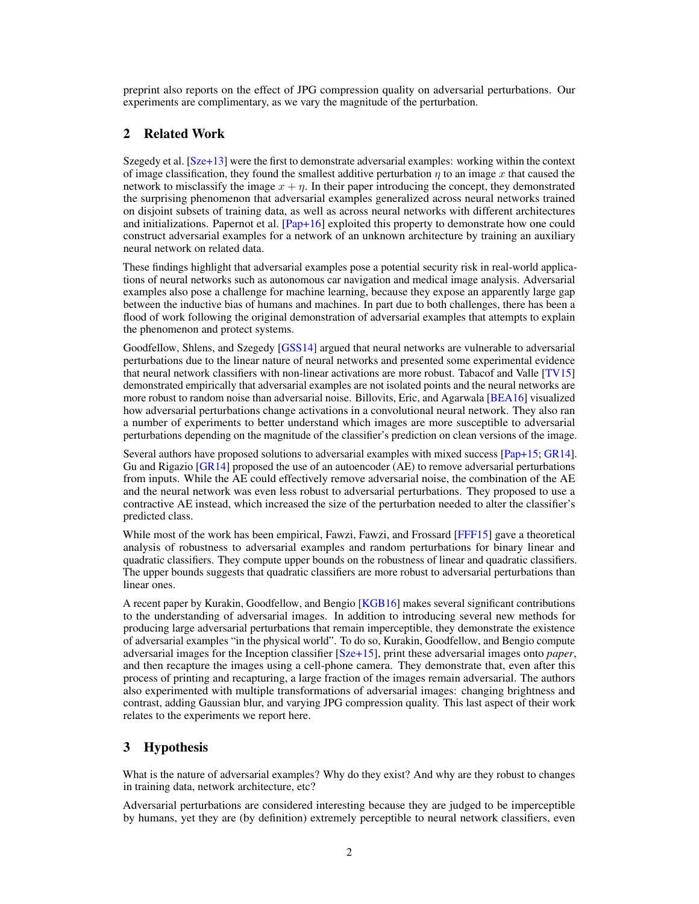preprint also reports on the effect of JPG compression quality on adversarial perturbations. Our experiments are complimentary, as we vary the magnitude of the perturbation.

# 2 Related Work

Szegedy et al. [\[Sze+13\]](#page-7-2) were the first to demonstrate adversarial examples: working within the context of image classification, they found the smallest additive perturbation  $\eta$  to an image x that caused the network to misclassify the image  $x + \eta$ . In their paper introducing the concept, they demonstrated the surprising phenomenon that adversarial examples generalized across neural networks trained on disjoint subsets of training data, as well as across neural networks with different architectures and initializations. Papernot et al.  $[Pap+16]$  exploited this property to demonstrate how one could construct adversarial examples for a network of an unknown architecture by training an auxiliary neural network on related data.

These findings highlight that adversarial examples pose a potential security risk in real-world applications of neural networks such as autonomous car navigation and medical image analysis. Adversarial examples also pose a challenge for machine learning, because they expose an apparently large gap between the inductive bias of humans and machines. In part due to both challenges, there has been a flood of work following the original demonstration of adversarial examples that attempts to explain the phenomenon and protect systems.

Goodfellow, Shlens, and Szegedy [\[GSS14\]](#page-6-0) argued that neural networks are vulnerable to adversarial perturbations due to the linear nature of neural networks and presented some experimental evidence that neural network classifiers with non-linear activations are more robust. Tabacof and Valle [\[TV15\]](#page-7-5) demonstrated empirically that adversarial examples are not isolated points and the neural networks are more robust to random noise than adversarial noise. Billovits, Eric, and Agarwala [\[BEA16\]](#page-6-1) visualized how adversarial perturbations change activations in a convolutional neural network. They also ran a number of experiments to better understand which images are more susceptible to adversarial perturbations depending on the magnitude of the classifier's prediction on clean versions of the image.

Several authors have proposed solutions to adversarial examples with mixed success [\[Pap+15;](#page-7-6) [GR14\]](#page-6-2). Gu and Rigazio  $\left[GR14\right]$  proposed the use of an autoencoder (AE) to remove adversarial perturbations from inputs. While the AE could effectively remove adversarial noise, the combination of the AE and the neural network was even less robust to adversarial perturbations. They proposed to use a contractive AE instead, which increased the size of the perturbation needed to alter the classifier's predicted class.

While most of the work has been empirical, Fawzi, Fawzi, and Frossard [\[FFF15\]](#page-6-3) gave a theoretical analysis of robustness to adversarial examples and random perturbations for binary linear and quadratic classifiers. They compute upper bounds on the robustness of linear and quadratic classifiers. The upper bounds suggests that quadratic classifiers are more robust to adversarial perturbations than linear ones.

A recent paper by Kurakin, Goodfellow, and Bengio [\[KGB16\]](#page-7-3) makes several significant contributions to the understanding of adversarial images. In addition to introducing several new methods for producing large adversarial perturbations that remain imperceptible, they demonstrate the existence of adversarial examples "in the physical world". To do so, Kurakin, Goodfellow, and Bengio compute adversarial images for the Inception classifier [\[Sze+15\]](#page-7-7), print these adversarial images onto *paper*, and then recapture the images using a cell-phone camera. They demonstrate that, even after this process of printing and recapturing, a large fraction of the images remain adversarial. The authors also experimented with multiple transformations of adversarial images: changing brightness and contrast, adding Gaussian blur, and varying JPG compression quality. This last aspect of their work relates to the experiments we report here.

## 3 Hypothesis

What is the nature of adversarial examples? Why do they exist? And why are they robust to changes in training data, network architecture, etc?

Adversarial perturbations are considered interesting because they are judged to be imperceptible by humans, yet they are (by definition) extremely perceptible to neural network classifiers, even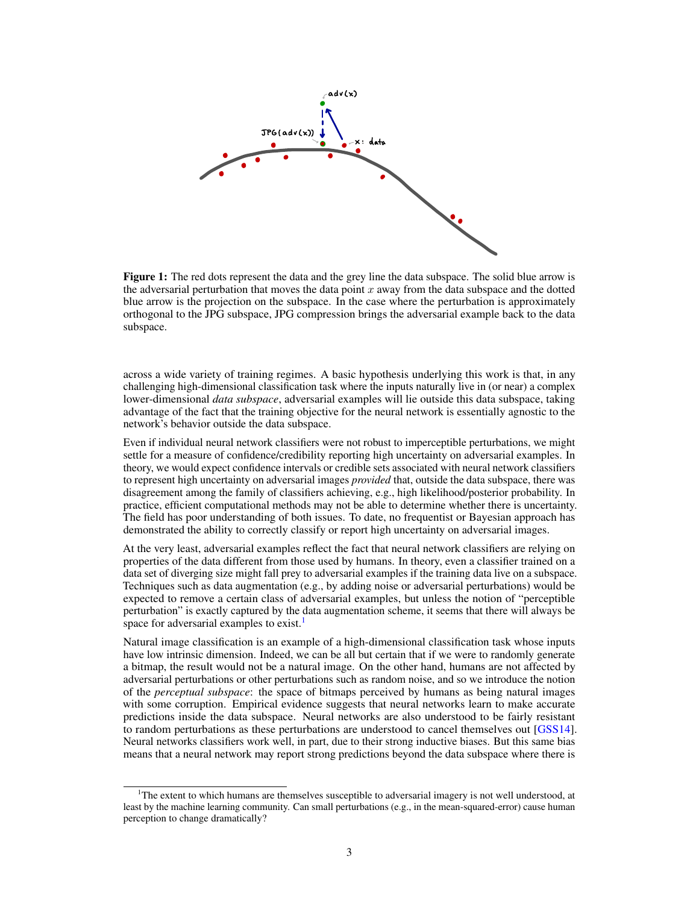

Figure 1: The red dots represent the data and the grey line the data subspace. The solid blue arrow is the adversarial perturbation that moves the data point  $x$  away from the data subspace and the dotted blue arrow is the projection on the subspace. In the case where the perturbation is approximately orthogonal to the JPG subspace, JPG compression brings the adversarial example back to the data subspace.

across a wide variety of training regimes. A basic hypothesis underlying this work is that, in any challenging high-dimensional classification task where the inputs naturally live in (or near) a complex lower-dimensional *data subspace*, adversarial examples will lie outside this data subspace, taking advantage of the fact that the training objective for the neural network is essentially agnostic to the network's behavior outside the data subspace.

Even if individual neural network classifiers were not robust to imperceptible perturbations, we might settle for a measure of confidence/credibility reporting high uncertainty on adversarial examples. In theory, we would expect confidence intervals or credible sets associated with neural network classifiers to represent high uncertainty on adversarial images *provided* that, outside the data subspace, there was disagreement among the family of classifiers achieving, e.g., high likelihood/posterior probability. In practice, efficient computational methods may not be able to determine whether there is uncertainty. The field has poor understanding of both issues. To date, no frequentist or Bayesian approach has demonstrated the ability to correctly classify or report high uncertainty on adversarial images.

At the very least, adversarial examples reflect the fact that neural network classifiers are relying on properties of the data different from those used by humans. In theory, even a classifier trained on a data set of diverging size might fall prey to adversarial examples if the training data live on a subspace. Techniques such as data augmentation (e.g., by adding noise or adversarial perturbations) would be expected to remove a certain class of adversarial examples, but unless the notion of "perceptible perturbation" is exactly captured by the data augmentation scheme, it seems that there will always be space for adversarial examples to exist.<sup>[1](#page-2-0)</sup>

Natural image classification is an example of a high-dimensional classification task whose inputs have low intrinsic dimension. Indeed, we can be all but certain that if we were to randomly generate a bitmap, the result would not be a natural image. On the other hand, humans are not affected by adversarial perturbations or other perturbations such as random noise, and so we introduce the notion of the *perceptual subspace*: the space of bitmaps perceived by humans as being natural images with some corruption. Empirical evidence suggests that neural networks learn to make accurate predictions inside the data subspace. Neural networks are also understood to be fairly resistant to random perturbations as these perturbations are understood to cancel themselves out [\[GSS14\]](#page-6-0). Neural networks classifiers work well, in part, due to their strong inductive biases. But this same bias means that a neural network may report strong predictions beyond the data subspace where there is

<span id="page-2-0"></span><sup>&</sup>lt;sup>1</sup>The extent to which humans are themselves susceptible to adversarial imagery is not well understood, at least by the machine learning community. Can small perturbations (e.g., in the mean-squared-error) cause human perception to change dramatically?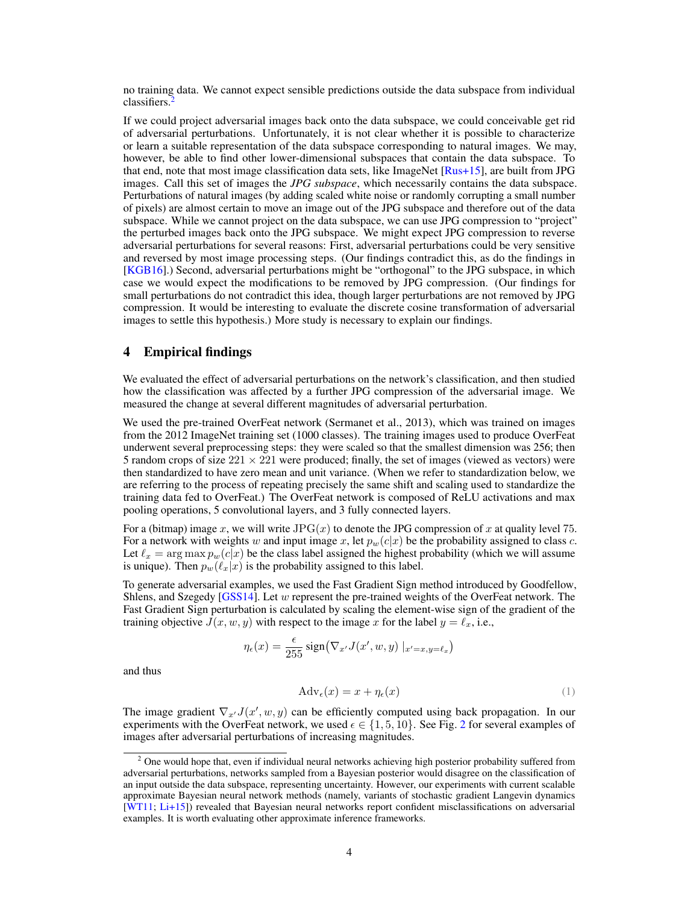no training data. We cannot expect sensible predictions outside the data subspace from individual  $classifiers.$ 

If we could project adversarial images back onto the data subspace, we could conceivable get rid of adversarial perturbations. Unfortunately, it is not clear whether it is possible to characterize or learn a suitable representation of the data subspace corresponding to natural images. We may, however, be able to find other lower-dimensional subspaces that contain the data subspace. To that end, note that most image classification data sets, like ImageNet [\[Rus+15\]](#page-7-0), are built from JPG images. Call this set of images the *JPG subspace*, which necessarily contains the data subspace. Perturbations of natural images (by adding scaled white noise or randomly corrupting a small number of pixels) are almost certain to move an image out of the JPG subspace and therefore out of the data subspace. While we cannot project on the data subspace, we can use JPG compression to "project" the perturbed images back onto the JPG subspace. We might expect JPG compression to reverse adversarial perturbations for several reasons: First, adversarial perturbations could be very sensitive and reversed by most image processing steps. (Our findings contradict this, as do the findings in [\[KGB16\]](#page-7-3).) Second, adversarial perturbations might be "orthogonal" to the JPG subspace, in which case we would expect the modifications to be removed by JPG compression. (Our findings for small perturbations do not contradict this idea, though larger perturbations are not removed by JPG compression. It would be interesting to evaluate the discrete cosine transformation of adversarial images to settle this hypothesis.) More study is necessary to explain our findings.

### 4 Empirical findings

We evaluated the effect of adversarial perturbations on the network's classification, and then studied how the classification was affected by a further JPG compression of the adversarial image. We measured the change at several different magnitudes of adversarial perturbation.

We used the pre-trained OverFeat network (Sermanet et al., 2013), which was trained on images from the 2012 ImageNet training set (1000 classes). The training images used to produce OverFeat underwent several preprocessing steps: they were scaled so that the smallest dimension was 256; then 5 random crops of size  $221 \times 221$  were produced; finally, the set of images (viewed as vectors) were then standardized to have zero mean and unit variance. (When we refer to standardization below, we are referring to the process of repeating precisely the same shift and scaling used to standardize the training data fed to OverFeat.) The OverFeat network is composed of ReLU activations and max pooling operations, 5 convolutional layers, and 3 fully connected layers.

For a (bitmap) image x, we will write  $JPG(x)$  to denote the JPG compression of x at quality level 75. For a network with weights w and input image x, let  $p_w(c|x)$  be the probability assigned to class c. Let  $\ell_x = \arg \max p_w(c|x)$  be the class label assigned the highest probability (which we will assume is unique). Then  $p_w(\ell_x|x)$  is the probability assigned to this label.

To generate adversarial examples, we used the Fast Gradient Sign method introduced by Goodfellow, Shlens, and Szegedy [\[GSS14\]](#page-6-0). Let  $w$  represent the pre-trained weights of the OverFeat network. The Fast Gradient Sign perturbation is calculated by scaling the element-wise sign of the gradient of the training objective  $J(x, w, y)$  with respect to the image x for the label  $y = \ell_x$ , i.e.,

$$
\eta_{\epsilon}(x) = \frac{\epsilon}{255} \operatorname{sign}(\nabla_{x'} J(x', w, y) \mid_{x'=x, y=\ell_x})
$$

and thus

$$
Adv_{\epsilon}(x) = x + \eta_{\epsilon}(x) \tag{1}
$$

The image gradient  $\nabla_{x'}J(x', w, y)$  can be efficiently computed using back propagation. In our experiments with the OverFeat network, we used  $\epsilon \in \{1, 5, 10\}$ . See Fig. [2](#page-4-0) for several examples of images after adversarial perturbations of increasing magnitudes.

<span id="page-3-0"></span><sup>&</sup>lt;sup>2</sup> One would hope that, even if individual neural networks achieving high posterior probability suffered from adversarial perturbations, networks sampled from a Bayesian posterior would disagree on the classification of an input outside the data subspace, representing uncertainty. However, our experiments with current scalable approximate Bayesian neural network methods (namely, variants of stochastic gradient Langevin dynamics [\[WT11;](#page-7-8) [Li+15\]](#page-7-9)) revealed that Bayesian neural networks report confident misclassifications on adversarial examples. It is worth evaluating other approximate inference frameworks.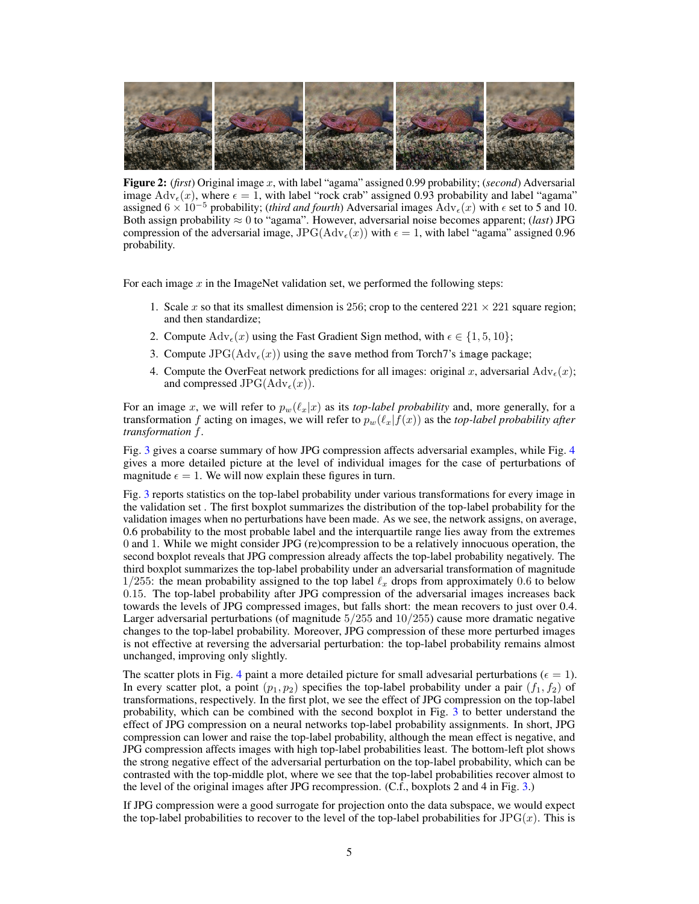<span id="page-4-0"></span>

Figure 2: (*first*) Original image x, with label "agama" assigned 0.99 probability; (*second*) Adversarial image  $\text{Adv}_{\epsilon}(x)$ , where  $\epsilon = 1$ , with label "rock crab" assigned 0.93 probability and label "agama" assigned  $6 \times 10^{-5}$  probability; (*third and fourth*) Adversarial images  $\text{Adv}_{\epsilon}(x)$  with  $\epsilon$  set to 5 and 10. Both assign probability  $\approx 0$  to "agama". However, adversarial noise becomes apparent; (*last*) JPG compression of the adversarial image, JPG( $\text{Adv}_{\epsilon}(x)$ ) with  $\epsilon = 1$ , with label "agama" assigned 0.96 probability.

For each image  $x$  in the ImageNet validation set, we performed the following steps:

- 1. Scale x so that its smallest dimension is 256; crop to the centered  $221 \times 221$  square region; and then standardize;
- 2. Compute  $\text{Adv}_{\epsilon}(x)$  using the Fast Gradient Sign method, with  $\epsilon \in \{1, 5, 10\};$
- 3. Compute  $JPG(\text{Adv}_{\epsilon}(x))$  using the save method from Torch7's image package;
- 4. Compute the OverFeat network predictions for all images: original x, adversarial  $\text{Adv}_{\epsilon}(x)$ ; and compressed JPG( $\text{Adv}_{\epsilon}(x)$ ).

For an image x, we will refer to  $p_w(\ell_x|x)$  as its *top-label probability* and, more generally, for a transformation f acting on images, we will refer to  $p_w(\ell_x|f(x))$  as the *top-label probability after transformation* f.

Fig. [3](#page-5-0) gives a coarse summary of how JPG compression affects adversarial examples, while Fig. [4](#page-6-4) gives a more detailed picture at the level of individual images for the case of perturbations of magnitude  $\epsilon = 1$ . We will now explain these figures in turn.

Fig. [3](#page-5-0) reports statistics on the top-label probability under various transformations for every image in the validation set . The first boxplot summarizes the distribution of the top-label probability for the validation images when no perturbations have been made. As we see, the network assigns, on average, 0.6 probability to the most probable label and the interquartile range lies away from the extremes 0 and 1. While we might consider JPG (re)compression to be a relatively innocuous operation, the second boxplot reveals that JPG compression already affects the top-label probability negatively. The third boxplot summarizes the top-label probability under an adversarial transformation of magnitude  $1/255$ : the mean probability assigned to the top label  $\ell_x$  drops from approximately 0.6 to below 0.15. The top-label probability after JPG compression of the adversarial images increases back towards the levels of JPG compressed images, but falls short: the mean recovers to just over 0.4. Larger adversarial perturbations (of magnitude  $5/255$  and  $10/255$ ) cause more dramatic negative changes to the top-label probability. Moreover, JPG compression of these more perturbed images is not effective at reversing the adversarial perturbation: the top-label probability remains almost unchanged, improving only slightly.

The scatter plots in Fig. [4](#page-6-4) paint a more detailed picture for small advesarial perturbations ( $\epsilon = 1$ ). In every scatter plot, a point  $(p_1, p_2)$  specifies the top-label probability under a pair  $(f_1, f_2)$  of transformations, respectively. In the first plot, we see the effect of JPG compression on the top-label probability, which can be combined with the second boxplot in Fig. [3](#page-5-0) to better understand the effect of JPG compression on a neural networks top-label probability assignments. In short, JPG compression can lower and raise the top-label probability, although the mean effect is negative, and JPG compression affects images with high top-label probabilities least. The bottom-left plot shows the strong negative effect of the adversarial perturbation on the top-label probability, which can be contrasted with the top-middle plot, where we see that the top-label probabilities recover almost to the level of the original images after JPG recompression. (C.f., boxplots 2 and 4 in Fig. [3.](#page-5-0))

If JPG compression were a good surrogate for projection onto the data subspace, we would expect the top-label probabilities to recover to the level of the top-label probabilities for  $JPG(x)$ . This is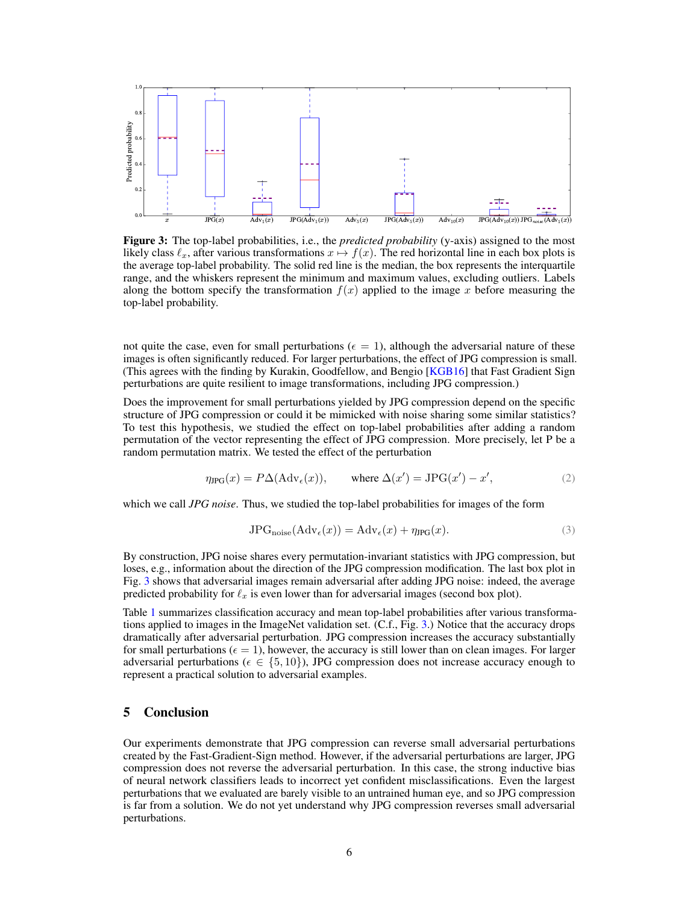<span id="page-5-0"></span>

Figure 3: The top-label probabilities, i.e., the *predicted probability* (y-axis) assigned to the most likely class  $\ell_x$ , after various transformations  $x \mapsto f(x)$ . The red horizontal line in each box plots is the average top-label probability. The solid red line is the median, the box represents the interquartile range, and the whiskers represent the minimum and maximum values, excluding outliers. Labels along the bottom specify the transformation  $f(x)$  applied to the image x before measuring the top-label probability.

not quite the case, even for small perturbations ( $\epsilon = 1$ ), although the adversarial nature of these images is often significantly reduced. For larger perturbations, the effect of JPG compression is small. (This agrees with the finding by Kurakin, Goodfellow, and Bengio [\[KGB16\]](#page-7-3) that Fast Gradient Sign perturbations are quite resilient to image transformations, including JPG compression.)

Does the improvement for small perturbations yielded by JPG compression depend on the specific structure of JPG compression or could it be mimicked with noise sharing some similar statistics? To test this hypothesis, we studied the effect on top-label probabilities after adding a random permutation of the vector representing the effect of JPG compression. More precisely, let P be a random permutation matrix. We tested the effect of the perturbation

$$
\eta_{\text{IPG}}(x) = P\Delta(\text{Adv}_{\epsilon}(x)), \quad \text{where } \Delta(x') = \text{JPG}(x') - x', \tag{2}
$$

which we call *JPG noise*. Thus, we studied the top-label probabilities for images of the form

$$
JPGnoise(Adv\epsilon(x)) = Adv\epsilon(x) + \eta_{JPG}(x).
$$
\n(3)

By construction, JPG noise shares every permutation-invariant statistics with JPG compression, but loses, e.g., information about the direction of the JPG compression modification. The last box plot in Fig. [3](#page-5-0) shows that adversarial images remain adversarial after adding JPG noise: indeed, the average predicted probability for  $\ell_x$  is even lower than for adversarial images (second box plot).

Table [1](#page-7-10) summarizes classification accuracy and mean top-label probabilities after various transformations applied to images in the ImageNet validation set. (C.f., Fig. [3.](#page-5-0)) Notice that the accuracy drops dramatically after adversarial perturbation. JPG compression increases the accuracy substantially for small perturbations ( $\epsilon = 1$ ), however, the accuracy is still lower than on clean images. For larger adversarial perturbations ( $\epsilon \in \{5, 10\}$ ), JPG compression does not increase accuracy enough to represent a practical solution to adversarial examples.

## 5 Conclusion

Our experiments demonstrate that JPG compression can reverse small adversarial perturbations created by the Fast-Gradient-Sign method. However, if the adversarial perturbations are larger, JPG compression does not reverse the adversarial perturbation. In this case, the strong inductive bias of neural network classifiers leads to incorrect yet confident misclassifications. Even the largest perturbations that we evaluated are barely visible to an untrained human eye, and so JPG compression is far from a solution. We do not yet understand why JPG compression reverses small adversarial perturbations.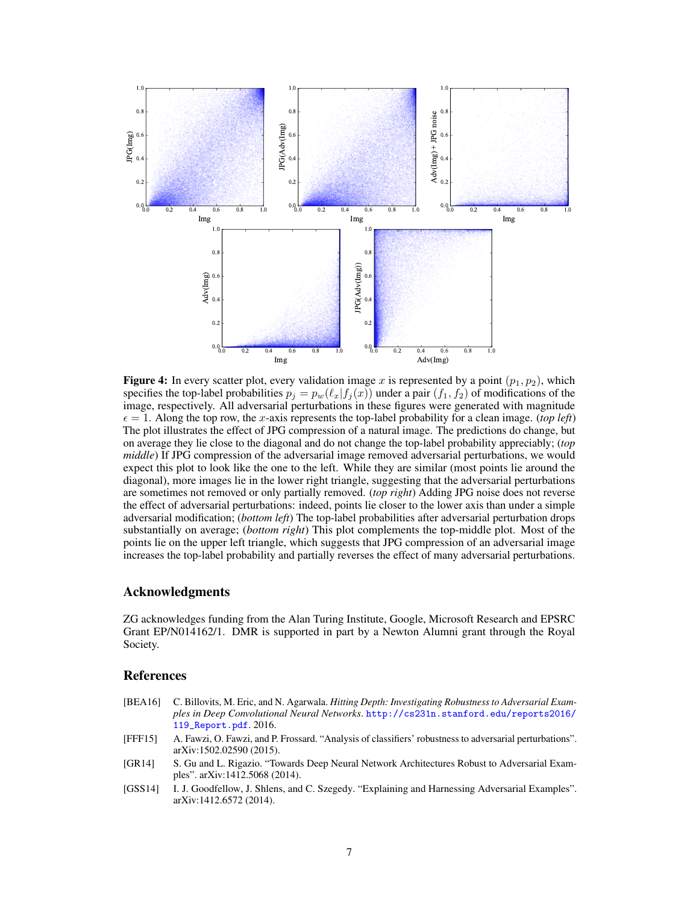<span id="page-6-4"></span>

**Figure 4:** In every scatter plot, every validation image x is represented by a point  $(p_1, p_2)$ , which specifies the top-label probabilities  $p_j = p_w(\ell_x | f_j(x))$  under a pair  $(f_1, f_2)$  of modifications of the image, respectively. All adversarial perturbations in these figures were generated with magnitude  $\epsilon = 1$ . Along the top row, the x-axis represents the top-label probability for a clean image. (*top left*) The plot illustrates the effect of JPG compression of a natural image. The predictions do change, but on average they lie close to the diagonal and do not change the top-label probability appreciably; (*top middle*) If JPG compression of the adversarial image removed adversarial perturbations, we would expect this plot to look like the one to the left. While they are similar (most points lie around the diagonal), more images lie in the lower right triangle, suggesting that the adversarial perturbations are sometimes not removed or only partially removed. (*top right*) Adding JPG noise does not reverse the effect of adversarial perturbations: indeed, points lie closer to the lower axis than under a simple adversarial modification; (*bottom left*) The top-label probabilities after adversarial perturbation drops substantially on average; (*bottom right*) This plot complements the top-middle plot. Most of the points lie on the upper left triangle, which suggests that JPG compression of an adversarial image increases the top-label probability and partially reverses the effect of many adversarial perturbations.

#### Acknowledgments

ZG acknowledges funding from the Alan Turing Institute, Google, Microsoft Research and EPSRC Grant EP/N014162/1. DMR is supported in part by a Newton Alumni grant through the Royal Society.

#### References

- <span id="page-6-1"></span>[BEA16] C. Billovits, M. Eric, and N. Agarwala. *Hitting Depth: Investigating Robustness to Adversarial Examples in Deep Convolutional Neural Networks*. [http://cs231n.stanford.edu/reports2016/](http://cs231n.stanford.edu/reports2016/119_Report.pdf) [119\\_Report.pdf](http://cs231n.stanford.edu/reports2016/119_Report.pdf). 2016.
- <span id="page-6-3"></span>[FFF15] A. Fawzi, O. Fawzi, and P. Frossard. "Analysis of classifiers' robustness to adversarial perturbations". arXiv:1502.02590 (2015).
- <span id="page-6-2"></span>[GR14] S. Gu and L. Rigazio. "Towards Deep Neural Network Architectures Robust to Adversarial Examples". arXiv:1412.5068 (2014).
- <span id="page-6-0"></span>[GSS14] I. J. Goodfellow, J. Shlens, and C. Szegedy. "Explaining and Harnessing Adversarial Examples". arXiv:1412.6572 (2014).